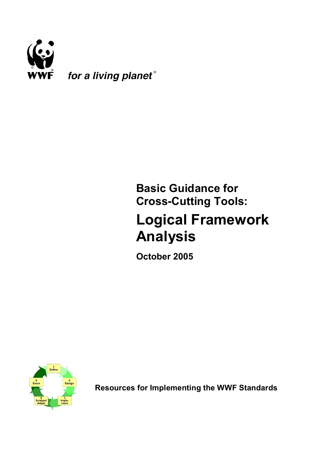

# **Basic Guidance for Cross-Cutting Tools:**

# **Logical Framework Analysis**

**October 2005**



**Resources for Implementing the WWF Standards**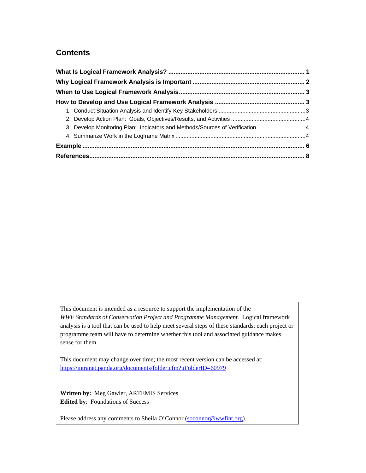#### **[Contents](#page-3-0)**

| 3. Develop Monitoring Plan: Indicators and Methods/Sources of Verification4 |  |
|-----------------------------------------------------------------------------|--|
|                                                                             |  |
|                                                                             |  |
|                                                                             |  |

This document is intended as a resource to support the implementation of the *WWF Standards of Conservation Project and Programme Management.* Logical framework analysis is a tool that can be used to help meet several steps of these standards; each project or programme team will have to determine whether this tool and associated guidance makes sense for them.

This document may change over time; the most recent version can be accessed at: https://intranet.panda.org/documents/folder.cfm?uFolderID=60979

**Written by:** Meg Gawler, ARTEMIS Services **Edited by**[: Foundations of Success](https://intranet.panda.org/documents/folder.cfm?uFolderID=60979) 

Please address any comments to Sheila O'Connor (soconnor@wwfint.org).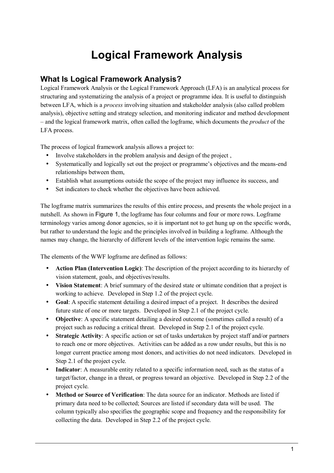# **Logical Framework Analysis**

# <span id="page-2-0"></span>**What Is Logical Framework Analysis?**

Logical Framework Analysis or the Logical Framework Approach (LFA) is an analytical process for structuring and systematizing the analysis of a project or programme idea. It is useful to distinguish between LFA, which is a *process* involving situation and stakeholder analysis (also called problem analysis), objective setting and strategy selection, and monitoring indicator and method development – and the logical framework matrix, often called the logframe, which documents the *product* of the LFA process.

The process of logical framework analysis allows a project to:

- Involve stakeholders in the problem analysis and design of the project,
- Systematically and logically set out the project or programme's objectives and the means-end relationships between them,
- Establish what assumptions outside the scope of the project may influence its success, and
- Set indicators to check whether the objectives have been achieved.

The logframe matrix summarizes the results of this entire process, and presents the whole project in a nutshell. As shown in [Figure 1](#page-3-1), the logframe has four columns and four or more rows. Logframe terminology varies among donor agencies, so it is important not to get hung up on the specific words, but rather to understand the logic and the principles involved in building a logframe. Although the names may change, the hierarchy of different levels of the intervention logic remains the same.

The elements of the WWF logframe are defined as follows:

- **Action Plan (Intervention Logic)**: The description of the project according to its hierarchy of vision statement, goals, and objectives/results.
- **Vision Statement**: A brief summary of the desired state or ultimate condition that a project is working to achieve. Developed in Step 1.2 of the project cycle.
- **Goal**: A specific statement detailing a desired impact of a project. It describes the desired future state of one or more targets. Developed in Step 2.1 of the project cycle.
- **Objective**: A specific statement detailing a desired outcome (sometimes called a result) of a project such as reducing a critical threat. Developed in Step 2.1 of the project cycle.
- **Strategic Activity**: A specific action or set of tasks undertaken by project staff and/or partners to reach one or more objectives. Activities can be added as a row under results, but this is no longer current practice among most donors, and activities do not need indicators. Developed in Step 2.1 of the project cycle.
- **Indicator**: A measurable entity related to a specific information need, such as the status of a target/factor, change in a threat, or progress toward an objective. Developed in Step 2.2 of the project cycle.
- **Method or Source of Verification**: The data source for an indicator. Methods are listed if primary data need to be collected; Sources are listed if secondary data will be used. The column typically also specifies the geographic scope and frequency and the responsibility for collecting the data. Developed in Step 2.2 of the project cycle.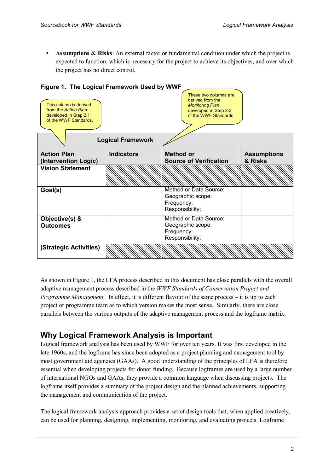<span id="page-3-0"></span>• **Assumptions & Risks**: An external factor or fundamental condition under which the project is expected to function, which is necessary for the project to achieve its objectives, and over which the project has no direct control.

| <b>Figure 1. The Logical Framework USEG by WWVF</b>                                              |                   |                                                                                                                       |                               |  |  |
|--------------------------------------------------------------------------------------------------|-------------------|-----------------------------------------------------------------------------------------------------------------------|-------------------------------|--|--|
| This column is derived<br>from the Action Plan<br>developed in Step 2.1<br>of the WWF Standards. |                   | These two columns are<br>derived from the<br><b>Monitoring Plan</b><br>developed in Step 2.2<br>of the WWF Standards. |                               |  |  |
| <b>Logical Framework</b>                                                                         |                   |                                                                                                                       |                               |  |  |
| <b>Action Plan</b><br>(Intervention Logic)                                                       | <b>Indicators</b> | <b>Method or</b><br><b>Source of Verification</b>                                                                     | <b>Assumptions</b><br>& Risks |  |  |
| <b>Vision Statement</b>                                                                          |                   |                                                                                                                       |                               |  |  |
| Goal(s)                                                                                          |                   | Method or Data Source:<br>Geographic scope:<br>Frequency:<br>Responsibility:                                          |                               |  |  |
| Objective(s) &<br><b>Outcomes</b>                                                                |                   | Method or Data Source:<br>Geographic scope:<br>Frequency:<br>Responsibility:                                          |                               |  |  |
| (Strategic Activities)                                                                           |                   |                                                                                                                       |                               |  |  |

#### <span id="page-3-1"></span>**Figure 1. The Logical Framework Used by WWF**

As shown in Figure 1, the LFA process described in this document has close parallels with the overall adaptive management process described in the *WWF Standards of Conservation Project and Programme Management.* In effect, it is different flavour of the same process – it is up to each project or programme team as to which version makes the most sense. Similarly, there are close parallels between the various outputs of the adaptive management process and the logframe matrix.

# **Why Logical Framework Analysis is Important**

Logical framework analysis has been used by WWF for over ten years. It was first developed in the late 1960s, and the logframe has since been adopted as a project planning and management tool by most government aid agencies (GAAs). A good understanding of the principles of LFA is therefore essential when developing projects for donor funding. Because logframes are used by a large number of international NGOs and GAAs, they provide a common language when discussing projects. The logframe itself provides a summary of the project design and the planned achievements, supporting the management and communication of the project.

The logical framework analysis approach provides a set of design tools that, when applied creatively, can be used for planning, designing, implementing, monitoring, and evaluating projects. Logframe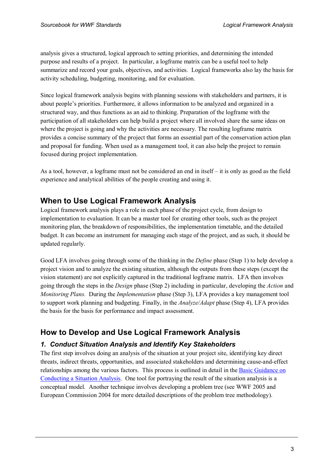<span id="page-4-0"></span>analysis gives a structured, logical approach to setting priorities, and determining the intended purpose and results of a project. In particular, a logframe matrix can be a useful tool to help summarize and record your goals, objectives, and activities. Logical frameworks also lay the basis for activity scheduling, budgeting, monitoring, and for evaluation.

Since logical framework analysis begins with planning sessions with stakeholders and partners, it is about people's priorities. Furthermore, it allows information to be analyzed and organized in a structured way, and thus functions as an aid to thinking. Preparation of the logframe with the participation of all stakeholders can help build a project where all involved share the same ideas on where the project is going and why the activities are necessary. The resulting logframe matrix provides a concise summary of the project that forms an essential part of the conservation action plan and proposal for funding. When used as a management tool, it can also help the project to remain focused during project implementation.

As a tool, however, a logframe must not be considered an end in itself – it is only as good as the field experience and analytical abilities of the people creating and using it.

## **When to Use Logical Framework Analysis**

Logical framework analysis plays a role in each phase of the project cycle, from design to implementation to evaluation. It can be a master tool for creating other tools, such as the project monitoring plan, the breakdown of responsibilities, the implementation timetable, and the detailed budget. It can become an instrument for managing each stage of the project, and as such, it should be updated regularly.

Good LFA involves going through some of the thinking in the *Define* phase (Step 1) to help develop a project vision and to analyze the existing situation, although the outputs from these steps (except the vision statement) are not explicitly captured in the traditional logframe matrix. LFA then involves going through the steps in the *Design* phase (Step 2) including in particular, developing the *Action* and *Monitoring Plans.* During the *Implementation* phase (Step 3), LFA provides a key management tool to support work planning and budgeting. Finally, in the *Analyze/Adapt* phase (Step 4), LFA provides the basis for the basis for performance and impact assessment.

# **How to Develop and Use Logical Framework Analysis**

#### *1. Conduct Situation Analysis and Identify Key Stakeholders*

The first step involves doing an analysis of the situation at your project site, identifying key direct threats, indirect threats, opportunities, and associated stakeholders and determining cause-and-effect relationships among the various factors. This process is outlined in detail in the [Basic Guidance](https://intranet.panda.org/documents/folder.cfm?uFolderID=60977) on [Conducting a Situation Analysis.](https://intranet.panda.org/documents/folder.cfm?uFolderID=60977) One tool for portraying the result of the situation analysis is a conceptual model. Another technique involves developing a problem tree (see WWF 2005 and European Commission 2004 for more detailed descriptions of the problem tree methodology).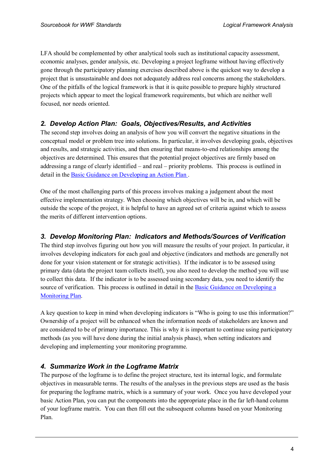<span id="page-5-0"></span>LFA should be complemented by other analytical tools such as institutional capacity assessment, economic analyses, gender analysis, etc. Developing a project logframe without having effectively gone through the participatory planning exercises described above is the quickest way to develop a project that is unsustainable and does not adequately address real concerns among the stakeholders. One of the pitfalls of the logical framework is that it is quite possible to prepare highly structured projects which appear to meet the logical framework requirements, but which are neither well focused, nor needs oriented.

#### *2. Develop Action Plan: Goals, Objectives/Results, and Activities*

The second step involves doing an analysis of how you will convert the negative situations in the conceptual model or problem tree into solutions. In particular, it involves developing goals, objectives and results, and strategic activities, and then ensuring that means-to-end relationships among the objectives are determined. This ensures that the potential project objectives are firmly based on addressing a range of clearly identified – and real – priority problems. This process is outlined in detail in the Basic Guidance [on Developing an Action](https://intranet.panda.org/documents/folder.cfm?uFolderID=60978) Plan .

One of the most challenging parts of this process involves making a judgement about the most effective implementation strategy. When choosing which objectives will be in, and which will be outside the scope of the project, it is helpful to have an agreed set of criteria against which to assess the merits of different intervention options.

#### *3. Develop Monitoring Plan: Indicators and Methods/Sources of Verification*

The third step involves figuring out how you will measure the results of your project. In particular, it involves developing indicators for each goal and objective (indicators and methods are generally not done for your vision statement or for strategic activities). If the indicator is to be assesed using primary data (data the project team collects itself), you also need to develop the method you will use to collect this data. If the indicator is to be assessed using secondary data, you need to identify the source of verification. This process is outlined in detail in the [Basic Guidance on Developing a](https://intranet.panda.org/documents/folder.cfm?uFolderID=60979) [Monitoring Plan](https://intranet.panda.org/documents/folder.cfm?uFolderID=60979).

A key question to keep in mind when developing indicators is "Who is going to use this information?" Ownership of a project will be enhanced when the information needs of stakeholders are known and are considered to be of primary importance. This is why it is important to continue using participatory methods (as you will have done during the initial analysis phase), when setting indicators and developing and implementing your monitoring programme.

#### *4. Summarize Work in the Logframe Matrix*

The purpose of the logframe is to define the project structure, test its internal logic, and formulate objectives in measurable terms. The results of the analyses in the previous steps are used as the basis for preparing the logframe matrix, which is a summary of your work. Once you have developed your basic Action Plan, you can put the components into the appropriate place in the far left-hand column of your logframe matrix. You can then fill out the subsequent columns based on your Monitoring Plan.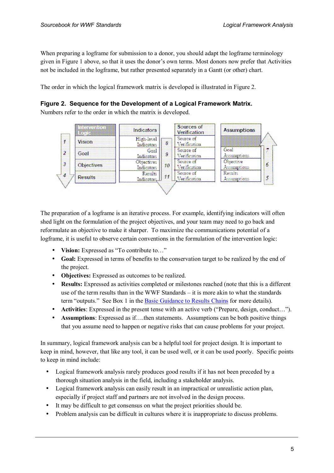When preparing a logframe for submission to a donor, you should adapt the logframe terminology given in Figure 1 above, so that it uses the donor's own terms. Most donors now prefer that Activities not be included in the logframe, but rather presented separately in a Gantt (or other) chart.

The order in which the logical framework matrix is developed is illustrated in Figure 2.

#### **Figure 2. Sequence for the Development of a Logical Framework Matrix.**

Numbers refer to the order in which the matrix is developed.



The preparation of a logframe is an iterative process. For example, identifying indicators will often shed light on the formulation of the project objectives, and your team may need to go back and reformulate an objective to make it sharper. To maximize the communications potential of a logframe, it is useful to observe certain conventions in the formulation of the intervention logic:

- **Vision:** Expressed as "To contribute to..."
- **Goal:** Expressed in terms of benefits to the conservation target to be realized by the end of the project.
- **Objectives:** Expressed as outcomes to be realized.
- **Results:** Expressed as activities completed or milestones reached (note that this is a different use of the term results than in the WWF Standards – it is more akin to what the standards term "outputs." See Box 1 in the [Basic Guidance to Results Chains](https://intranet.panda.org/documents/folder.cfm?uFolderID=60978) for more details).
- **Activities**: Expressed in the present tense with an active verb ("Prepare, design, conduct…").
- **Assumptions**: Expressed as if…then statements. Assumptions can be both positive things that you assume need to happen or negative risks that can cause problems for your project.

In summary, logical framework analysis can be a helpful tool for project design. It is important to keep in mind, however, that like any tool, it can be used well, or it can be used poorly. Specific points to keep in mind include:

- Logical framework analysis rarely produces good results if it has not been preceded by a thorough situation analysis in the field, including a stakeholder analysis.
- Logical framework analysis can easily result in an impractical or unrealistic action plan, especially if project staff and partners are not involved in the design process.
- It may be difficult to get consensus on what the project priorities should be.
- Problem analysis can be difficult in cultures where it is inappropriate to discuss problems.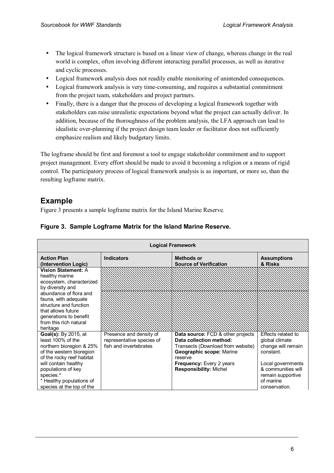- <span id="page-7-0"></span>• The logical framework structure is based on a linear view of change, whereas change in the real world is complex, often involving different interacting parallel processes, as well as iterative and cyclic processes.
- Logical framework analysis does not readily enable monitoring of unintended consequences.
- Logical framework analysis is very time-consuming, and requires a substantial commitment from the project team, stakeholders and project partners.
- Finally, there is a danger that the process of developing a logical framework together with stakeholders can raise unrealistic expectations beyond what the project can actually deliver. In addition, because of the thoroughness of the problem analysis, the LFA approach can lead to idealistic over-planning if the project design team leader or facilitator does not sufficiently emphasize realism and likely budgetary limits.

The logframe should be first and foremost a tool to engage stakeholder commitment and to support project management. Every effort should be made to avoid it becoming a religion or a means of rigid control. The participatory process of logical framework analysis is as important, or more so, than the resulting logframe matrix.

## **Example**

Figure 3 presents a sample logframe matrix for the Island Marine Reserve.

| <b>Logical Framework</b>                   |                           |                                                    |                               |
|--------------------------------------------|---------------------------|----------------------------------------------------|-------------------------------|
| <b>Action Plan</b><br>(Intervention Logic) | <b>Indicators</b>         | <b>Methods or</b><br><b>Source of Verification</b> | <b>Assumptions</b><br>& Risks |
| Vision Statement: A                        |                           |                                                    |                               |
| healthy marine                             |                           |                                                    |                               |
| ecosystem, characterized                   |                           |                                                    |                               |
| by diversity and                           |                           |                                                    |                               |
| abundance of flora and                     |                           |                                                    |                               |
| fauna, with adequate                       |                           |                                                    |                               |
| structure and function                     |                           |                                                    |                               |
| that allows future                         |                           |                                                    |                               |
| generations to benefit                     |                           |                                                    |                               |
| from this rich natural                     |                           |                                                    |                               |
| heritage                                   |                           |                                                    |                               |
| Goal(s): By 2015, at                       | Presence and density of   | Data source: FCD & other projects                  | Effects related to            |
| least 100% of the                          | representative species of | Data collection method:                            | global climate                |
| northern bioregion & 25%                   | fish and invertebrates    | Transects (Download from website)                  | change will remain            |
| of the western bioregion                   |                           | Geographic scope: Marine                           | constant.                     |
| of the rocky reef habitat                  |                           | reserve                                            |                               |
| will contain healthy                       |                           | Frequency: Every 2 years                           | Local governments             |
| populations of key                         |                           | <b>Responsibility: Michel</b>                      | & communities will            |
| species.*                                  |                           |                                                    | remain supportive             |
| * Healthy populations of                   |                           |                                                    | of marine                     |
| species at the top of the                  |                           |                                                    | conservation.                 |

#### **Figure 3. Sample Logframe Matrix for the Island Marine Reserve.**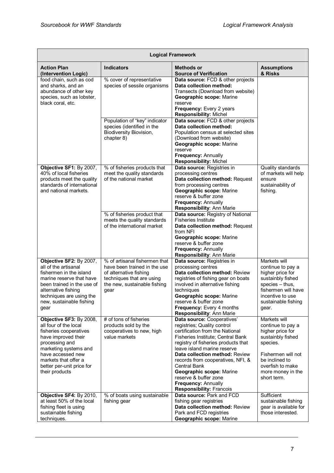| <b>Logical Framework</b>                                                                                                                                                                                                                 |                                                                                                                                                              |                                                                                                                                                                                                                                                                                                                                                                                                               |                                                                                                                                                                                        |
|------------------------------------------------------------------------------------------------------------------------------------------------------------------------------------------------------------------------------------------|--------------------------------------------------------------------------------------------------------------------------------------------------------------|---------------------------------------------------------------------------------------------------------------------------------------------------------------------------------------------------------------------------------------------------------------------------------------------------------------------------------------------------------------------------------------------------------------|----------------------------------------------------------------------------------------------------------------------------------------------------------------------------------------|
| <b>Action Plan</b><br>(Intervention Logic)                                                                                                                                                                                               | <b>Indicators</b>                                                                                                                                            | <b>Methods or</b><br><b>Source of Verification</b>                                                                                                                                                                                                                                                                                                                                                            | <b>Assumptions</b><br>& Risks                                                                                                                                                          |
| food chain, such as cod<br>and sharks, and an<br>abundance of other key<br>species, such as lobster,<br>black coral, etc.                                                                                                                | % cover of representative<br>species of sessile organisms                                                                                                    | Data source: FCD & other projects<br>Data collection method:<br>Transects (Download from website)<br>Geographic scope: Marine<br>reserve<br>Frequency: Every 2 years<br><b>Responsibility: Michel</b>                                                                                                                                                                                                         |                                                                                                                                                                                        |
|                                                                                                                                                                                                                                          | Population of "key" indicator<br>species (identified in the<br>Biodiversity Biovision,<br>chapter 8)                                                         | Data source: FCD & other projects<br>Data collection method:<br>Population census at selected sites<br>(Download from website)<br>Geographic scope: Marine<br>reserve<br>Frequency: Annually<br><b>Responsibility: Michel</b>                                                                                                                                                                                 |                                                                                                                                                                                        |
| Objective SF1: By 2007,<br>40% of local fisheries<br>products meet the quality<br>standards of international<br>and national markets.                                                                                                    | % of fisheries products that<br>meet the quality standards<br>of the national market                                                                         | Data source: Registries in<br>processing centres<br>Data collection method: Request<br>from processing centres<br>Geographic scope: Marine<br>reserve & buffer zone<br><b>Frequency: Annually</b><br>Responsibility: Ann Marie                                                                                                                                                                                | Quality standards<br>of markets will help<br>ensure<br>sustainability of<br>fishing.                                                                                                   |
|                                                                                                                                                                                                                                          | % of fisheries product that<br>meets the quality standards<br>of the international market                                                                    | Data source: Registry of National<br><b>Fisheries Institute</b><br>Data collection method: Request<br>from NFI<br>Geographic scope: Marine<br>reserve & buffer zone<br>Frequency: Annually<br>Responsibility: Ann Marie                                                                                                                                                                                       |                                                                                                                                                                                        |
| Objective SF2: By 2007,<br>all of the artisanal<br>fishermen in the island<br>marine reserve that have<br>been trained in the use of<br>alternative fishing<br>techniques are using the<br>new, sustainable fishing<br>gear              | % of artisanal fishermen that<br>have been trained in the use<br>of alternative fishing<br>techniques that are using<br>the new, sustainable fishing<br>gear | Data source: Registries in<br>processing centres<br>Data collection method: Review<br>registries of fishing gear on boats<br>involved in alternative fishing<br>techniques<br>Geographic scope: Marine<br>reserve & buffer zone<br>Frequency: Every 4 months<br>Responsibility: Ann Marie                                                                                                                     | Markets will<br>continue to pay a<br>higher price for<br>sustainbly fished<br>species - thus,<br>fishermen will have<br>incentive to use<br>sustainable fishing<br>gear.               |
| Objective SF3: By 2008,<br>all four of the local<br>fisheries cooperatives<br>have improved their<br>processing and<br>marketing systems and<br>have accessed new<br>markets that offer a<br>better per-unit price for<br>their products | # of tons of fisheries<br>products sold by the<br>cooperatives to new, high<br>value markets                                                                 | Data source: Cooperatives'<br>registries; Quality control<br>certification from the National<br>Fisheries Institute; Central Bank<br>registry of fisheries products that<br>leave island marine reserve<br>Data collection method: Review<br>records from cooperatives, NFI, &<br>Central Bank<br>Geographic scope: Marine<br>reserve & buffer zone<br>Frequency: Annually<br><b>Responsibility: Francois</b> | Markets will<br>continue to pay a<br>higher price for<br>sustainbly fished<br>species.<br>Fishermen will not<br>be inclined to<br>overfish to make<br>more money in the<br>short term. |
| Objective SF4: By 2010,<br>at least 50% of the local<br>fishing fleet is using<br>sustainable fishing<br>techniques.                                                                                                                     | % of boats using sustainable<br>fishing gear                                                                                                                 | Data source: Park and FCD<br>fishing gear registries<br>Data collection method: Review<br>Park and FCD registries<br>Geographic scope: Marine                                                                                                                                                                                                                                                                 | Sufficient<br>sustainable fishing<br>gear is available for<br>those interested.                                                                                                        |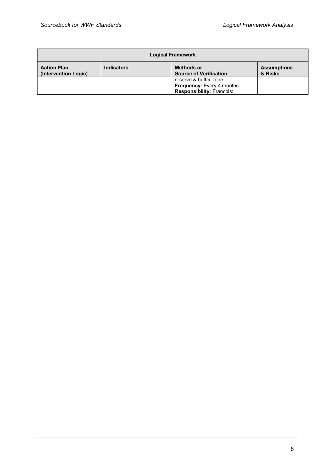| <b>Logical Framework</b>                   |                   |                                                                                        |                               |
|--------------------------------------------|-------------------|----------------------------------------------------------------------------------------|-------------------------------|
| <b>Action Plan</b><br>(Intervention Logic) | <b>Indicators</b> | <b>Methods or</b><br><b>Source of Verification</b>                                     | <b>Assumptions</b><br>& Risks |
|                                            |                   | reserve & buffer zone<br>Frequency: Every 4 months<br><b>Responsibility: Francois:</b> |                               |